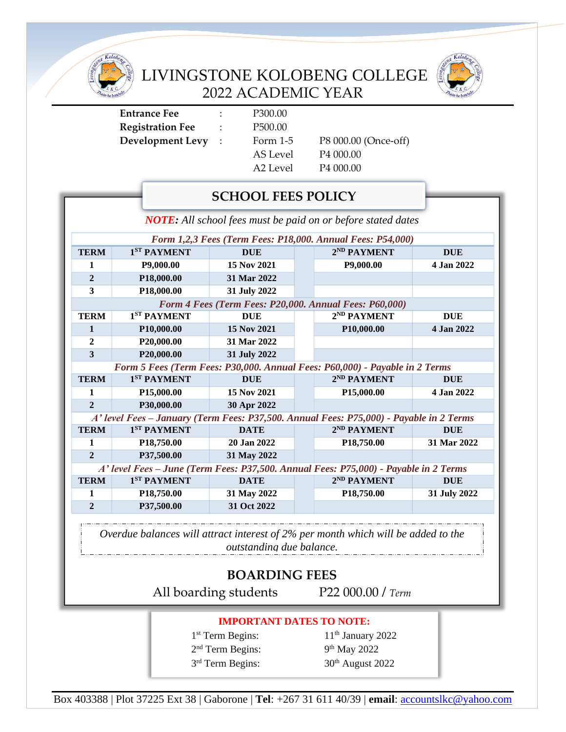

LIVINGSTONE KOLOBENG COLLEGE 2022 ACADEMIC YEAR



**Entrance Fee** : P300.00 **Registration Fee** : P500.00 **Development Levy** : Form 1-5 P8 000.00 (Once-off)

AS Level P4 000.00 A2 Level P4 000.00

# **SCHOOL FEES POLICY**

*NOTE: All school fees must be paid on or before stated dates*

| Form 1,2,3 Fees (Term Fees: P18,000. Annual Fees: P54,000)                                                                                                                                                                                                                                                                                                                                                                                                                                               |                         |              |  |                         |              |
|----------------------------------------------------------------------------------------------------------------------------------------------------------------------------------------------------------------------------------------------------------------------------------------------------------------------------------------------------------------------------------------------------------------------------------------------------------------------------------------------------------|-------------------------|--------------|--|-------------------------|--------------|
| <b>TERM</b>                                                                                                                                                                                                                                                                                                                                                                                                                                                                                              | 1 <sup>ST</sup> PAYMENT | <b>DUE</b>   |  | 2 <sup>ND</sup> PAYMENT | <b>DUE</b>   |
| 1                                                                                                                                                                                                                                                                                                                                                                                                                                                                                                        | P9,000.00               | 15 Nov 2021  |  | P9,000.00               | 4 Jan 2022   |
| $\overline{2}$                                                                                                                                                                                                                                                                                                                                                                                                                                                                                           | P18,000.00              | 31 Mar 2022  |  |                         |              |
| 3                                                                                                                                                                                                                                                                                                                                                                                                                                                                                                        | P18,000.00              | 31 July 2022 |  |                         |              |
| Form 4 Fees (Term Fees: P20,000. Annual Fees: P60,000)                                                                                                                                                                                                                                                                                                                                                                                                                                                   |                         |              |  |                         |              |
| <b>TERM</b>                                                                                                                                                                                                                                                                                                                                                                                                                                                                                              | 1 <sup>ST</sup> PAYMENT | <b>DUE</b>   |  | 2 <sup>ND</sup> PAYMENT | <b>DUE</b>   |
| $\mathbf{1}$                                                                                                                                                                                                                                                                                                                                                                                                                                                                                             | P10,000.00              | 15 Nov 2021  |  | P10,000.00              | 4 Jan 2022   |
| $\overline{2}$                                                                                                                                                                                                                                                                                                                                                                                                                                                                                           | P20,000.00              | 31 Mar 2022  |  |                         |              |
| 3                                                                                                                                                                                                                                                                                                                                                                                                                                                                                                        | P20,000.00              | 31 July 2022 |  |                         |              |
| Form 5 Fees (Term Fees: P30,000. Annual Fees: P60,000) - Payable in 2 Terms                                                                                                                                                                                                                                                                                                                                                                                                                              |                         |              |  |                         |              |
| <b>TERM</b>                                                                                                                                                                                                                                                                                                                                                                                                                                                                                              | 1 <sup>ST</sup> PAYMENT | <b>DUE</b>   |  | 2 <sup>ND</sup> PAYMENT | <b>DUE</b>   |
| 1                                                                                                                                                                                                                                                                                                                                                                                                                                                                                                        | P15,000.00              | 15 Nov 2021  |  | P15,000.00              | 4 Jan 2022   |
| $\overline{2}$                                                                                                                                                                                                                                                                                                                                                                                                                                                                                           | P30,000.00              | 30 Apr 2022  |  |                         |              |
| A' level Fees - January (Term Fees: P37,500. Annual Fees: P75,000) - Payable in 2 Terms                                                                                                                                                                                                                                                                                                                                                                                                                  |                         |              |  |                         |              |
| <b>TERM</b>                                                                                                                                                                                                                                                                                                                                                                                                                                                                                              | 1 <sup>ST</sup> PAYMENT | <b>DATE</b>  |  | 2 <sup>ND</sup> PAYMENT | <b>DUE</b>   |
| 1                                                                                                                                                                                                                                                                                                                                                                                                                                                                                                        | P18,750.00              | 20 Jan 2022  |  | P <sub>18</sub> ,750.00 | 31 Mar 2022  |
| $\overline{2}$                                                                                                                                                                                                                                                                                                                                                                                                                                                                                           | P37,500.00              | 31 May 2022  |  |                         |              |
| A' level Fees – June (Term Fees: P37,500. Annual Fees: P75,000) - Payable in 2 Terms                                                                                                                                                                                                                                                                                                                                                                                                                     |                         |              |  |                         |              |
| <b>TERM</b>                                                                                                                                                                                                                                                                                                                                                                                                                                                                                              | 1 <sup>ST</sup> PAYMENT | <b>DATE</b>  |  | 2 <sup>ND</sup> PAYMENT | <b>DUE</b>   |
| $\mathbf{1}$                                                                                                                                                                                                                                                                                                                                                                                                                                                                                             | P18,750.00              | 31 May 2022  |  | P <sub>18</sub> ,750.00 | 31 July 2022 |
| $\overline{2}$                                                                                                                                                                                                                                                                                                                                                                                                                                                                                           | P37,500.00              | 31 Oct 2022  |  |                         |              |
|                                                                                                                                                                                                                                                                                                                                                                                                                                                                                                          |                         |              |  |                         |              |
| $\frac{1}{2}$ . The state of the state $\frac{1}{2}$ is the state of the state of the state of the state of the state of the state of the state of the state of the state of the state of the state of the state of the state of the<br>$\begin{array}{ccc} \n\begin{array}{ccc} \n\end{array} & \n\begin{array}{ccc} \n\end{array} & \n\begin{array}{ccc} \n\end{array} & \n\begin{array}{ccc} \n\end{array} & \n\begin{array}{ccc} \n\end{array} & \n\begin{array}{ccc} \n\end{array} & \n\end{array}$ |                         |              |  |                         |              |

*Overdue balances will attract interest of 2% per month which will be added to the outstanding due balance.*

## **BOARDING FEES**

All boarding students P22 000.00 */ Term*

#### **IMPORTANT DATES TO NOTE:**

1<sup>st</sup> Term Begins: 11 2<sup>nd</sup> Term Begins: 9 3 rd Term Begins: 30

 $11<sup>th</sup>$  January 2022 9<sup>th</sup> May 2022 30<sup>th</sup> August 2022

Box 403388 | Plot 37225 Ext 38 | Gaborone | **Tel**: +267 31 611 40/39 | **email**: [accountslkc@yahoo.com](http://www.lkc.ac.bw/)